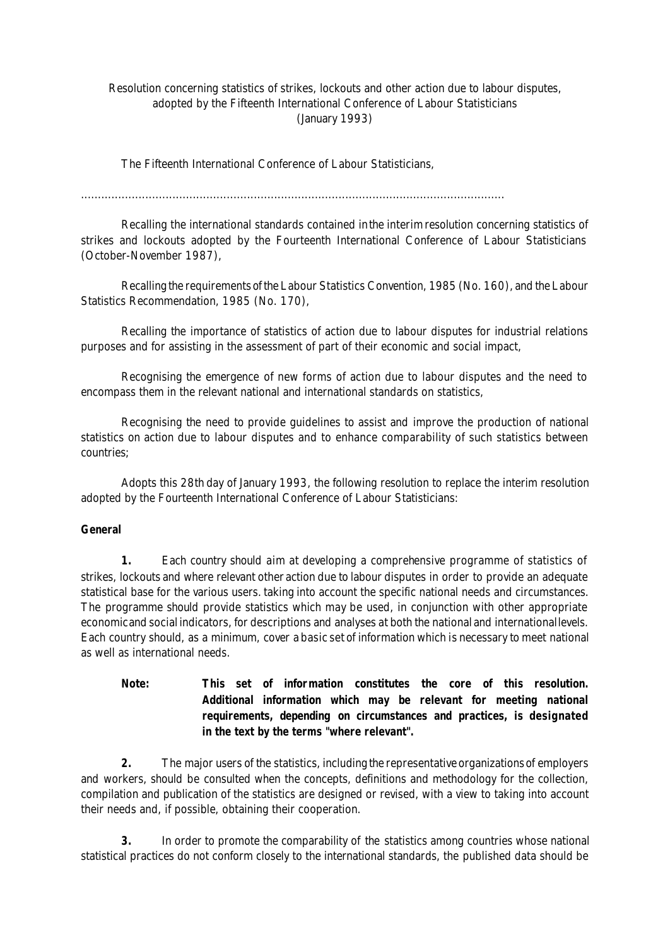# Resolution concerning statistics of strikes, lockouts and other action due to labour disputes, adopted by the Fifteenth International Conference of Labour Statisticians (January 1993)

The Fifteenth International Conference of Labour Statisticians,

.............................................................................................................................

Recalling the international standards contained inthe interimresolution concerning statistics of strikes and lockouts adopted by the Fourteenth International Conference of Labour Statisticians (October-November 1987),

Recallingthe requirements of the Labour Statistics Convention, 1985 (No. 160), and the Labour Statistics Recommendation, 1985 (No. 170),

Recalling the importance of statistics of action due to labour disputes for industrial relations purposes and for assisting in the assessment of part of their economic and social impact,

Recognising the emergence of new forms of action due to labour disputes and the need to encompass them in the relevant national and international standards on statistics,

Recognising the need to provide guidelines to assist and improve the production of national statistics on action due to labour disputes and to enhance comparability of such statistics between countries;

Adopts this 28th day of January 1993, the following resolution to replace the interim resolution adopted by the Fourteenth International Conference of Labour Statisticians:

#### **General**

**1.** Each country should aim at developing a comprehensive programme of statistics of strikes, lockouts and where relevant other action due to labour disputes in order to provide an adequate statistical base for the various users. taking into account the specific national needs and circumstances. The programme should provide statistics which may be used, in conjunction with other appropriate economicand social indicators, for descriptions and analyses at both the national and internationallevels. Each country should, as a minimum, cover a basic set of information which is necessary to meet national as well as international needs.

**Note: This set of information constitutes the core of this resolution. Additional information which may be relevant for meeting national requirements, depending on circumstances and practices, is designated in the text by the terms "where relevant".**

**2.** The major users of the statistics, including the representative organizations of employers and workers, should be consulted when the concepts, definitions and methodology for the collection, compilation and publication of the statistics are designed or revised, with a view to taking into account their needs and, if possible, obtaining their cooperation.

**3.** In order to promote the comparability of the statistics among countries whose national statistical practices do not conform closely to the international standards, the published data should be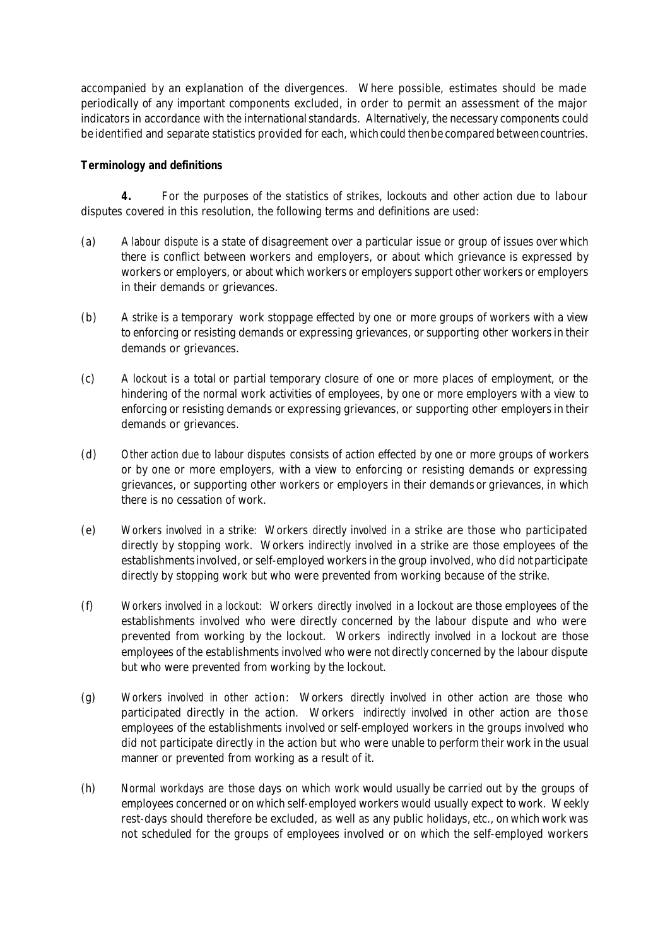accompanied by an explanation of the divergences. Where possible, estimates should be made periodically of any important components excluded, in order to permit an assessment of the major indicators in accordance with the international standards. Alternatively, the necessary components could be identified and separate statistics provided for each, which could thenbe compared between countries.

#### **Terminology and definitions**

**4.** For the purposes of the statistics of strikes, lockouts and other action due to labour disputes covered in this resolution, the following terms and definitions are used:

- (a) A *labour dispute* is a state of disagreement over a particular issue or group of issues overwhich there is conflict between workers and employers, or about which grievance is expressed by workers or employers, or about which workers or employers support other workers or employers in their demands or grievances.
- (b) A *strike* is a temporary work stoppage effected by one or more groups of workers with a view to enforcing or resisting demands or expressing grievances, or supporting other workers in their demands or grievances.
- (c) A *lockout* is a total or partial temporary closure of one or more places of employment, or the hindering of the normal work activities of employees, by one or more employers with a view to enforcing or resisting demands or expressing grievances, or supporting other employers in their demands or grievances.
- (d) *Other action due to labour disputes* consists of action effected by one or more groups of workers or by one or more employers, with a view to enforcing or resisting demands or expressing grievances, or supporting other workers or employers in their demands or grievances, in which there is no cessation of work.
- (e) *Workers involved in a strike:* Workers *directly involved* in a strike are those who participated directly by stopping work. Workers *indirectly involved* in a strike are those employees of the establishments involved, or self-employed workers in the group involved, who did not participate directly by stopping work but who were prevented from working because of the strike.
- (f) *Workers involved in a lockout:* Workers *directly involved* in a lockout are those employees of the establishments involved who were directly concerned by the labour dispute and who were prevented from working by the lockout. Workers *indirectly involved* in a lockout are those employees of the establishments involved who were not directly concerned by the labour dispute but who were prevented from working by the lockout.
- (g) *Workers involved in other action:* Workers *directly involved* in other action are those who participated directly in the action. Workers *indirectly involved* in other action are those employees of the establishments involved or self-employed workers in the groups involved who did not participate directly in the action but who were unable to perform their work in the usual manner or prevented from working as a result of it.
- (h) *Normal workdays* are those days on which work would usually be carried out by the groups of employees concerned or on which self-employed workers would usually expect to work. Weekly rest-days should therefore be excluded, as well as any public holidays, etc., on which work was not scheduled for the groups of employees involved or on which the self-employed workers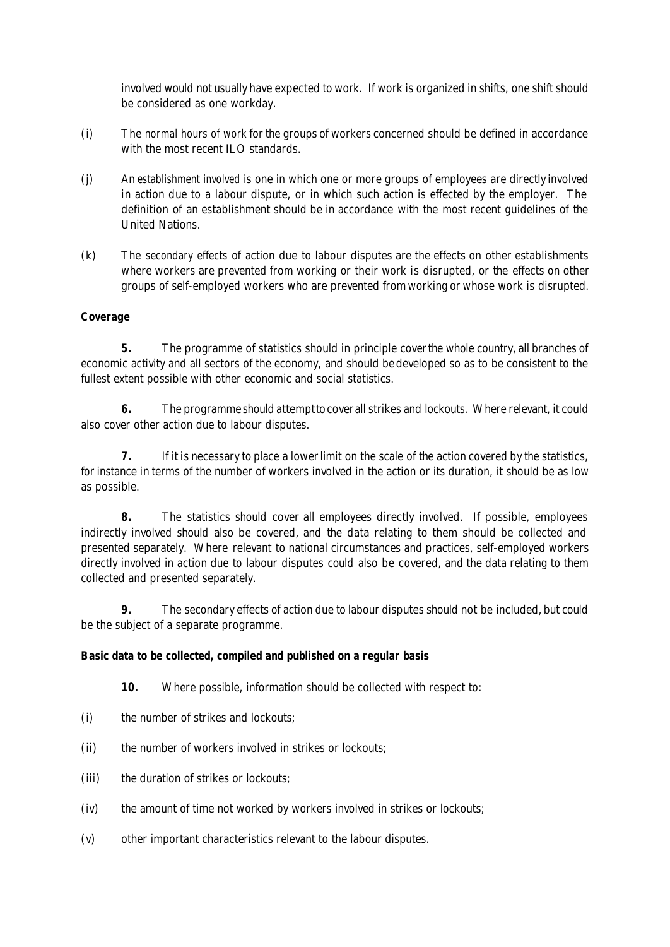involved would not usually have expected to work. If work is organized in shifts, one shift should be considered as one workday.

- (i) The *normal hours of work* forthe groups of workers concerned should be defined in accordance with the most recent ILO standards.
- (j) An *establishment involved* is one in which one or more groups of employees are directly involved in action due to a labour dispute, or in which such action is effected by the employer. The definition of an establishment should be in accordance with the most recent guidelines of the United Nations.
- (k) The *secondary effects* of action due to labour disputes are the effects on other establishments where workers are prevented from working or their work is disrupted, or the effects on other groups of self-employed workers who are prevented from working orwhose work is disrupted.

## **Coverage**

**5.** The programme of statistics should in principle coverthe whole country, all branches of economic activity and all sectors of the economy, and should be developed so as to be consistent to the fullest extent possible with other economic and social statistics.

**6.** The programme should attempt to coverall strikes and lockouts. Where relevant, it could also cover other action due to labour disputes.

**7.** If it is necessary to place a lowerlimit on the scale of the action covered by the statistics, for instance in terms of the number of workers involved in the action or its duration, it should be as low as possible.

**8.** The statistics should cover all employees directly involved. If possible, employees indirectly involved should also be covered, and the data relating to them should be collected and presented separately. Where relevant to national circumstances and practices, self-employed workers directly involved in action due to labour disputes could also be covered, and the data relating to them collected and presented separately.

**9.** The secondary effects of action due to labour disputes should not be included, but could be the subject of a separate programme.

#### **Basic data to be collected, compiled and published on a regular basis**

- **10.** Where possible, information should be collected with respect to:
- (i) the number of strikes and lockouts;
- (ii) the number of workers involved in strikes or lockouts;
- (iii) the duration of strikes or lockouts;
- (iv) the amount of time not worked by workers involved in strikes or lockouts;
- (v) other important characteristics relevant to the labour disputes.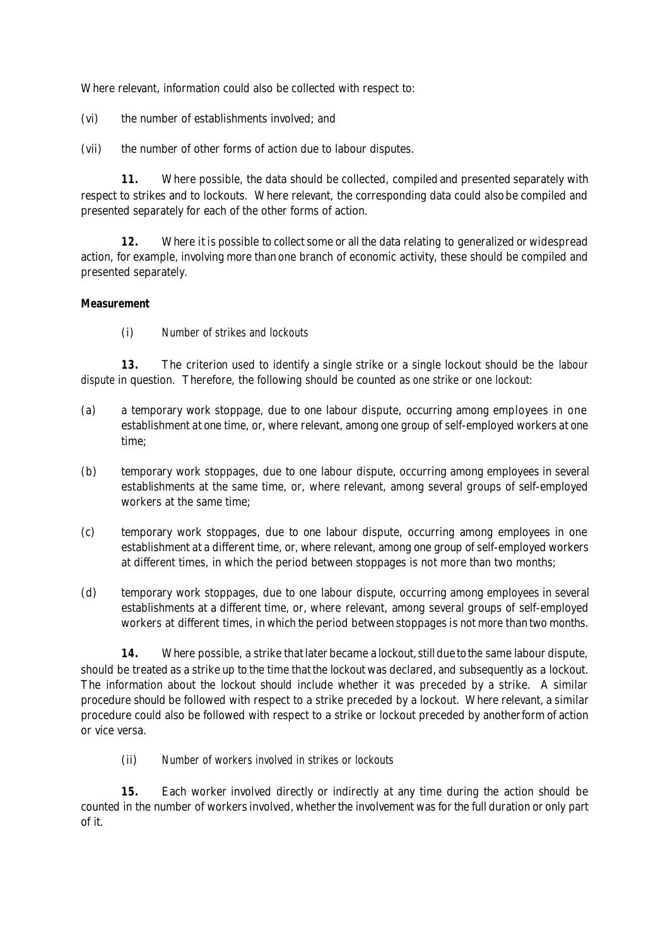Where relevant, information could also be collected with respect to:

- (vi) the number of establishments involved; and
- (vii) the number of other forms of action due to labour disputes.

**11.** Where possible, the data should be collected, compiled and presented separately with respect to strikes and to lockouts. Where relevant, the corresponding data could alsobe compiled and presented separately for each of the other forms of action.

**12.** Where it is possible to collect some or all the data relating to generalized or widespread action, for example, involving more than one branch of economic activity, these should be compiled and presented separately.

#### **Measurement**

(i) *Number of strikes and lockouts*

**13.** The criterion used to identify a single strike or a single lockout should be the *labour dispute* in question. Therefore, the following should be counted as *one strike* or *one lockout:*

- (a) a temporary work stoppage, due to one labour dispute, occurring among employees in one establishment at one time, or, where relevant, among one group of self-employed workers at one time;
- (b) temporary work stoppages, due to one labour dispute, occurring among employees in several establishments at the same time, or, where relevant, among several groups of self-employed workers at the same time;
- (c) temporary work stoppages, due to one labour dispute, occurring among employees in one establishment at a different time, or, where relevant, among one group of self-employed workers at different times, in which the period between stoppages is not more than two months;
- (d) temporary work stoppages, due to one labour dispute, occurring among employees in several establishments at a different time, or, where relevant, among several groups of self-employed workers at different times, in which the period between stoppages is not more than two months.

14. Where possible, a strike that later became a lockout, still due to the same labour dispute, should be treated as a strike up to the time thatthe lockoutwas declared, and subsequently as a lockout. The information about the lockout should include whether it was preceded by a strike. A similar procedure should be followed with respect to a strike preceded by a lockout. Where relevant, a similar procedure could also be followed with respect to a strike or lockout preceded by anotherform of action or vice versa.

(ii) *Number of workers involved in strikes or lockouts*

**15.** Each worker involved directly or indirectly at any time during the action should be counted in the number of workers involved, whether the involvement was for the full duration or only part of it.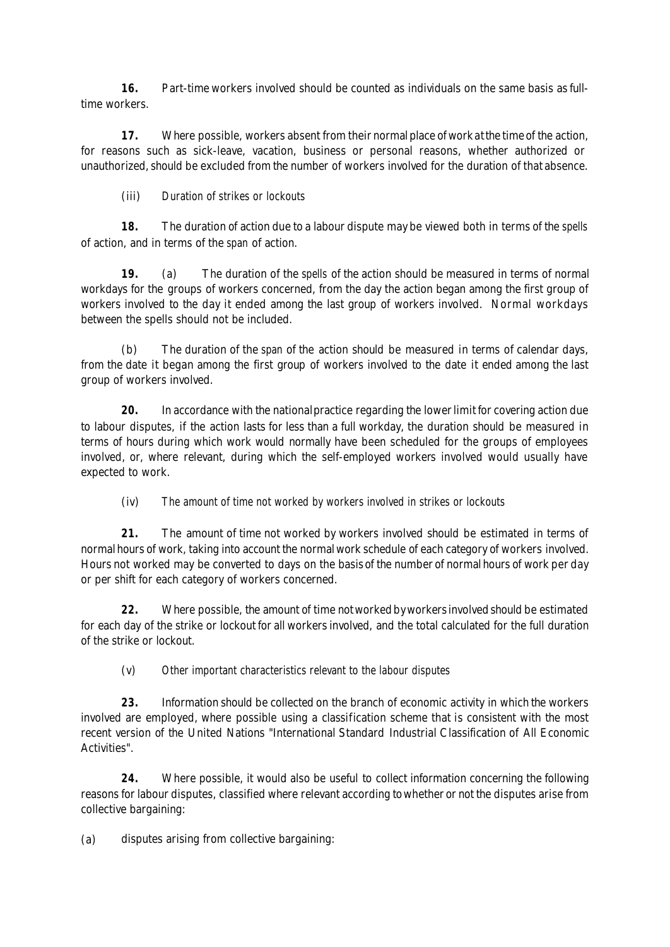**16.** Part-time workers involved should be counted as individuals on the same basis as fulltime workers.

17. Where possible, workers absent from their normal place of work at the time of the action, for reasons such as sick-leave, vacation, business or personal reasons, whether authorized or unauthorized, should be excluded from the number of workers involved for the duration of that absence.

(iii) *Duration of strikes or lockouts*

**18.** The duration of action due to a labour dispute may be viewed both in terms of the *spells* of action, and in terms of the *span* of action.

**19.** (a) The duration of the *spells* of the action should be measured in terms of normal workdays for the groups of workers concerned, from the day the action began among the first group of workers involved to the day it ended among the last group of workers involved. Normal workdays between the spells should not be included.

(b) The duration of the *span* of the action should be measured in terms of calendar days, from the date it began among the first group of workers involved to the date it ended among the last group of workers involved.

**20.** In accordance with the national practice regarding the lower limit for covering action due to labour disputes, if the action lasts for less than a full workday, the duration should be measured in terms of hours during which work would normally have been scheduled for the groups of employees involved, or, where relevant, during which the self-employed workers involved would usually have expected to work.

(iv) *The amount of time not worked by workers involved in strikes or lockouts*

**21.** The amount of time not worked by workers involved should be estimated in terms of normalhours of work, taking into account the normalwork schedule of each category of workers involved. Hours not worked may be converted to days on the basisof the number of normalhours of work per day or per shift for each category of workers concerned.

**22.** Where possible, the amount of time notworkedbyworkers involved should be estimated for each day of the strike or lockout for all workers involved, and the total calculated for the full duration of the strike or lockout.

(v) *Other important characteristics relevant to the labour disputes*

**23.** Information should be collected on the branch of economic activity in which the workers involved are employed, where possible using a classification scheme that is consistent with the most recent version of the United Nations "International Standard Industrial Classification of All Economic Activities".

**24.** Where possible, it would also be useful to collect information concerning the following reasons for labour disputes, classified where relevant according to whether or not the disputes arise from collective bargaining:

(a) disputes arising from collective bargaining: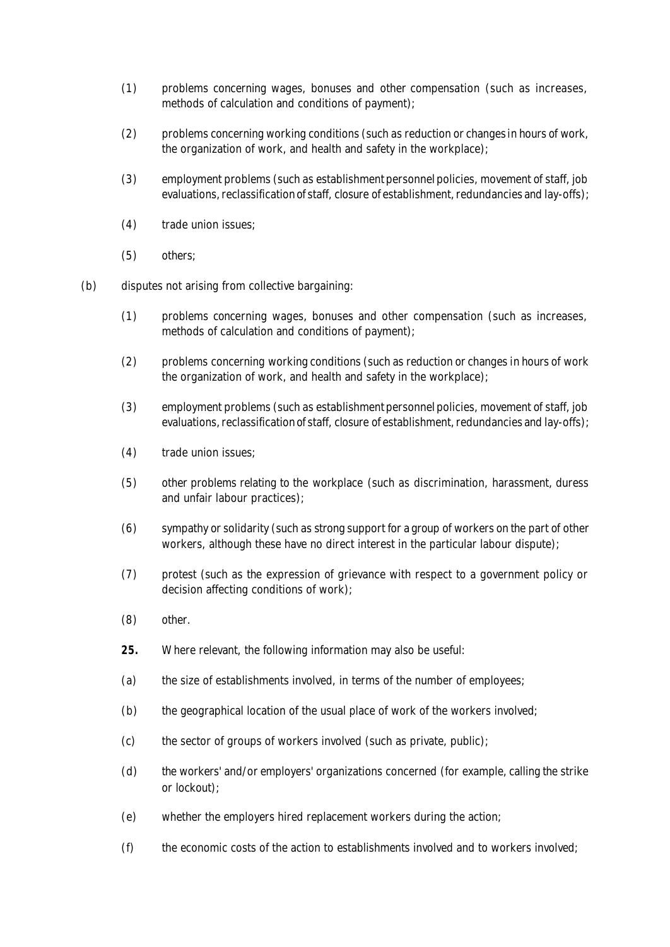- (1) problems concerning wages, bonuses and other compensation (such as increases, methods of calculation and conditions of payment);
- (2) problems concerning working conditions (such as reduction or changes in hours of work, the organization of work, and health and safety in the workplace);
- (3) employment problems (such as establishment personnel policies, movement of staff, job evaluations, reclassification of staff, closure of establishment, redundancies and lay-offs);
- (4) trade union issues;
- (5) others;
- (b) disputes not arising from collective bargaining:
	- (1) problems concerning wages, bonuses and other compensation (such as increases, methods of calculation and conditions of payment);
	- (2) problems concerning working conditions (such as reduction or changes in hours of work the organization of work, and health and safety in the workplace);
	- (3) employment problems (such as establishment personnel policies, movement of staff, job evaluations, reclassification of staff, closure of establishment, redundancies and lay-offs);
	- (4) trade union issues;
	- (5) other problems relating to the workplace (such as discrimination, harassment, duress and unfair labour practices);
	- (6) sympathy or solidarity (such as strong support for a group of workers on the part of other workers, although these have no direct interest in the particular labour dispute);
	- (7) protest (such as the expression of grievance with respect to a government policy or decision affecting conditions of work);
	- (8) other.
	- **25.** Where relevant, the following information may also be useful:
	- (a) the size of establishments involved, in terms of the number of employees;
	- (b) the geographical location of the usual place of work of the workers involved;
	- (c) the sector of groups of workers involved (such as private, public);
	- (d) the workers' and/or employers' organizations concerned (for example, calling the strike or lockout);
	- (e) whether the employers hired replacement workers during the action;
	- (f) the economic costs of the action to establishments involved and to workers involved;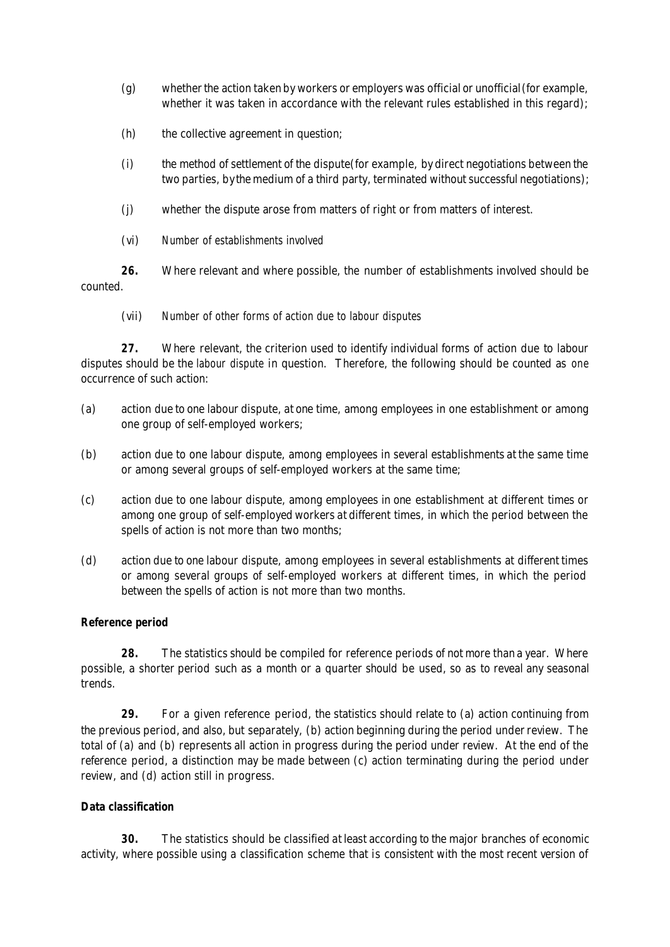- (g) whetherthe action taken by workers or employers was official or unofficial(for example, whether it was taken in accordance with the relevant rules established in this regard);
- (h) the collective agreement in question;
- (i) the method of settlement of the dispute(for example, by direct negotiations between the two parties, bythe medium of a third party, terminated without successful negotiations);
- (j) whether the dispute arose from matters of right or from matters of interest.
- (vi) *Number of establishments involved*

**26.** Where relevant and where possible, the number of establishments involved should be counted.

(vii) *Number of other forms of action due to labour disputes*

**27.** Where relevant, the criterion used to identify individual forms of action due to labour disputes should be the *labour dispute* in question. Therefore, the following should be counted as *one* occurrence of such action:

- (a) action due to one labour dispute, at one time, among employees in one establishment or among one group of self-employed workers;
- (b) action due to one labour dispute, among employees in several establishments at the same time or among several groups of self-employed workers at the same time;
- (c) action due to one labour dispute, among employees in one establishment at different times or among one group of self-employedworkers at different times, in which the period between the spells of action is not more than two months;
- (d) action due to one labour dispute, among employees in several establishments at different times or among several groups of self-employed workers at different times, in which the period between the spells of action is not more than two months.

#### **Reference period**

**28.** The statistics should be compiled for reference periods of not more than a year. Where possible, a shorter period such as a month or a quarter should be used, so as to reveal any seasonal trends.

**29.** For a given reference period, the statistics should relate to (a) action continuing from the previous period, and also, but separately, (b) action beginning during the period underreview. The total of (a) and (b) represents all action in progress during the period under review. At the end of the reference period, a distinction may be made between (c) action terminating during the period under review, and (d) action still in progress.

## **Data classification**

**30.** The statistics should be classified at least according to the major branches of economic activity, where possible using a classification scheme that is consistent with the most recent version of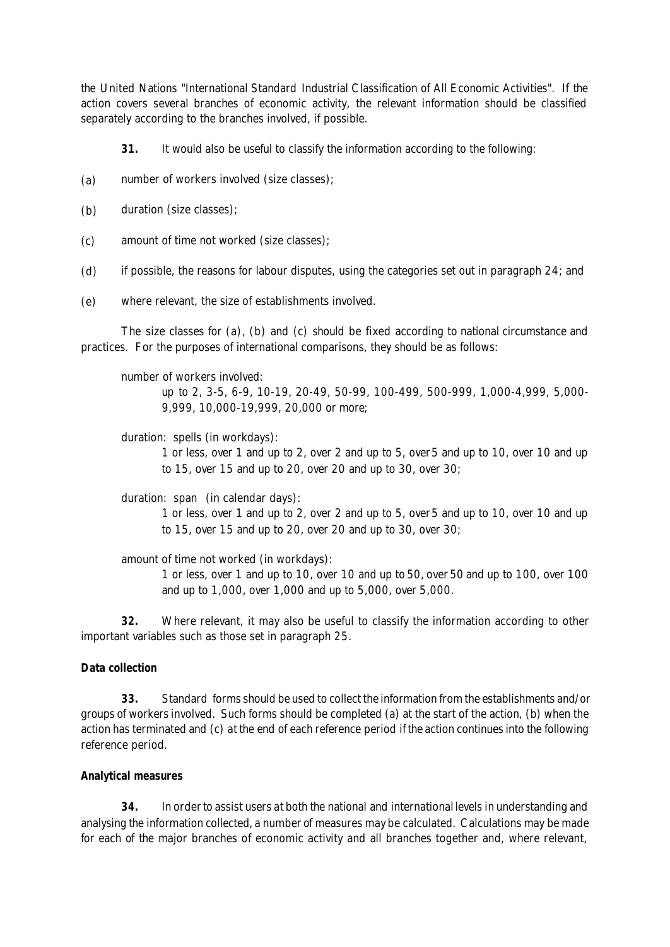the United Nations "International Standard Industrial Classification of All Economic Activities". If the action covers several branches of economic activity, the relevant information should be classified separately according to the branches involved, if possible.

**31.** It would also be useful to classify the information according to the following:

- (a) number of workers involved (size classes);
- (b) duration (size classes);
- (c) amount of time not worked (size classes);
- (d) if possible, the reasons for labour disputes, using the categories set out in paragraph 24; and
- (e) where relevant, the size of establishments involved.

The size classes for (a), (b) and (c) should be fixed according to national circumstance and practices. For the purposes of international comparisons, they should be as follows:

number of workers involved:

up to 2, 3-5, 6-9, 10-19, 20-49, 50-99, 100-499, 500-999, 1,000-4,999, 5,000- 9,999, 10,000-19,999, 20,000 or more;

duration: spells (in workdays):

1 or less, over 1 and up to 2, over 2 and up to 5, over5 and up to 10, over 10 and up to 15, over 15 and up to 20, over 20 and up to 30, over 30;

duration: span (in calendar days):

1 or less, over 1 and up to 2, over 2 and up to 5, over5 and up to 10, over 10 and up to 15, over 15 and up to 20, over 20 and up to 30, over 30;

amount of time not worked (in workdays):

1 or less, over 1 and up to 10, over 10 and up to 50, over50 and up to 100, over 100 and up to 1,000, over 1,000 and up to 5,000, over 5,000.

**32.** Where relevant, it may also be useful to classify the information according to other important variables such as those set in paragraph 25.

#### **Data collection**

**33.** Standard forms should be used to collect the information from the establishments and/or groups of workers involved. Such forms should be completed (a) at the start of the action, (b) when the action has terminated and (c) at the end of each reference period if the action continues into the following reference period.

#### **Analytical measures**

**34.** In orderto assist users at both the national and international levels in understanding and analysing the information collected, a number of measures may be calculated. Calculations may be made for each of the major branches of economic activity and all branches together and, where relevant,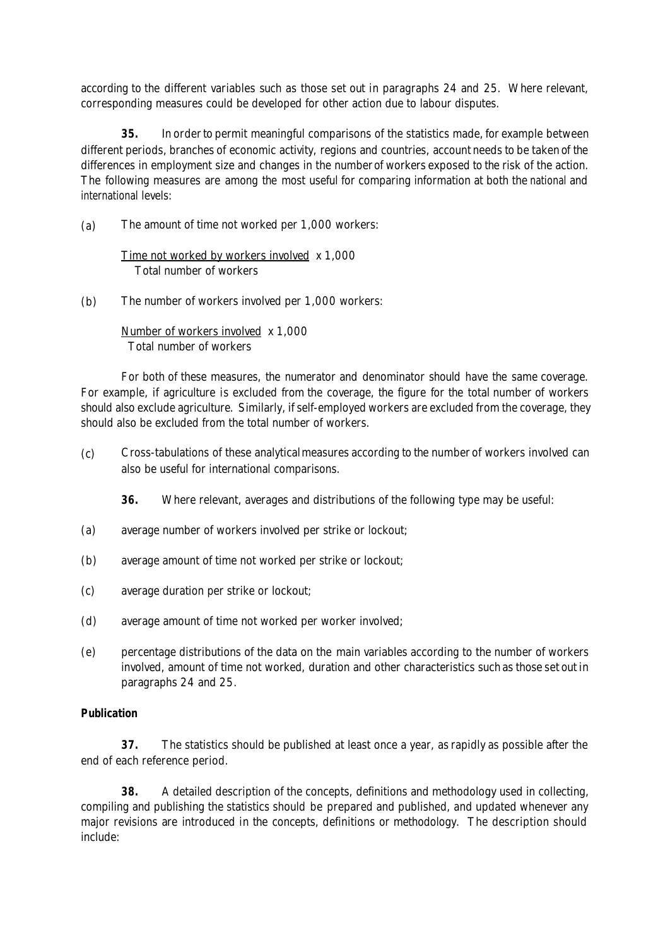according to the different variables such as those set out in paragraphs 24 and 25. Where relevant, corresponding measures could be developed for other action due to labour disputes.

**35.** In orderto permit meaningful comparisons of the statistics made, for example between different periods, branches of economic activity, regions and countries, account needs to be taken of the differences in employment size and changes in the numberof workers exposed to the risk of the action. The following measures are among the most useful for comparing information at both the *national* and *international* levels:

(a) The amount of time not worked per 1,000 workers:

Time not worked by workers involved x 1,000 Total number of workers

(b) The number of workers involved per 1,000 workers:

Number of workers involved x 1,000 Total number of workers

For both of these measures, the numerator and denominator should have the same coverage. For example, if agriculture is excluded from the coverage, the figure for the total number of workers should also exclude agriculture. Similarly, if self-employed workers are excluded from the coverage, they should also be excluded from the total number of workers.

- (c) Cross-tabulations of these analyticalmeasures according to the number of workers involved can also be useful for international comparisons.
	- **36.** Where relevant, averages and distributions of the following type may be useful:
- (a) average number of workers involved per strike or lockout;
- (b) average amount of time not worked per strike or lockout;
- (c) average duration per strike or lockout;
- (d) average amount of time not worked per worker involved;
- (e) percentage distributions of the data on the main variables according to the number of workers involved, amount of time not worked, duration and other characteristics such as those set out in paragraphs 24 and 25.

#### **Publication**

**37.** The statistics should be published at least once a year, as rapidly as possible after the end of each reference period.

**38.** A detailed description of the concepts, definitions and methodology used in collecting, compiling and publishing the statistics should be prepared and published, and updated whenever any major revisions are introduced in the concepts, definitions or methodology. The description should include: